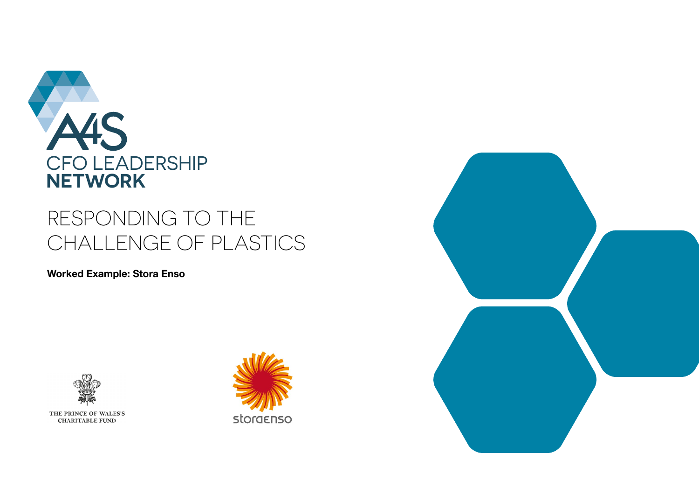

# RESPONDING TO THE CHALLENGE OF PLASTICS

**Worked Example: Stora Enso**



THE PRINCE OF WALES'S **CHARITABLE FUND** 



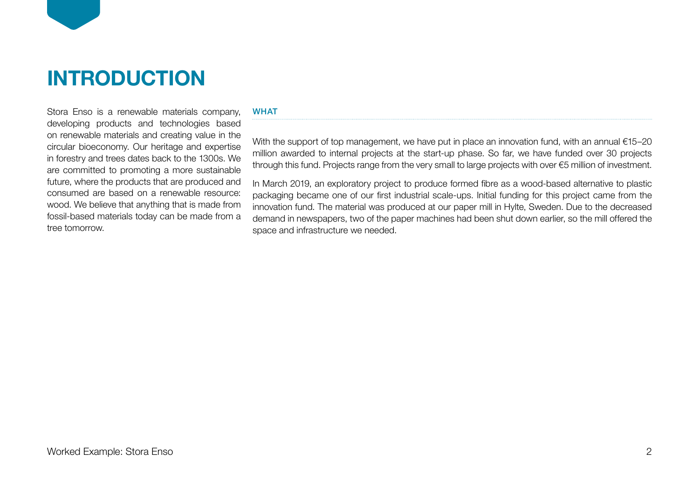

Stora Enso is a renewable materials company, developing products and technologies based on renewable materials and creating value in the circular bioeconomy. Our heritage and expertise in forestry and trees dates back to the 1300s. We are committed to promoting a more sustainable future, where the products that are produced and consumed are based on a renewable resource: wood. We believe that anything that is made from fossil-based materials today can be made from a tree tomorrow.

### **WHAT**

With the support of top management, we have put in place an innovation fund, with an annual €15–20 million awarded to internal projects at the start-up phase. So far, we have funded over 30 projects through this fund. Projects range from the very small to large projects with over €5 million of investment.

In March 2019, an exploratory project to produce formed fibre as a wood-based alternative to plastic packaging became one of our first industrial scale-ups. Initial funding for this project came from the innovation fund. The material was produced at our paper mill in Hylte, Sweden. Due to the decreased demand in newspapers, two of the paper machines had been shut down earlier, so the mill offered the space and infrastructure we needed.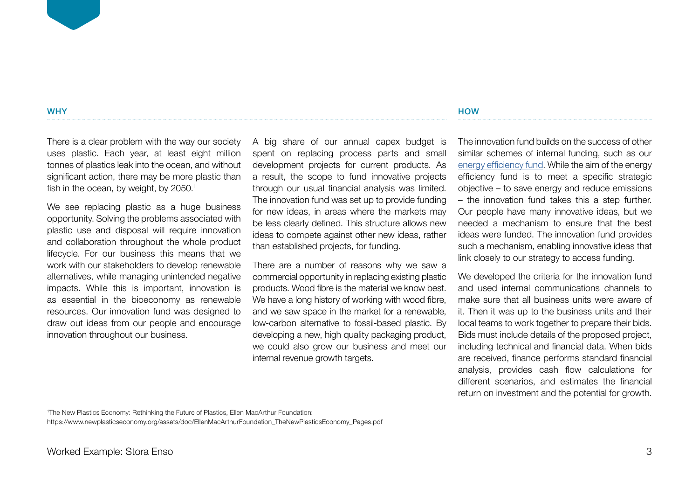There is a clear problem with the way our society uses plastic. Each year, at least eight million tonnes of plastics leak into the ocean, and without significant action, there may be more plastic than fish in the ocean, by weight, by 2050.<sup>1</sup>

We see replacing plastic as a huge business opportunity. Solving the problems associated with plastic use and disposal will require innovation and collaboration throughout the whole product lifecycle. For our business this means that we work with our stakeholders to develop renewable alternatives, while managing unintended negative impacts. While this is important, innovation is as essential in the bioeconomy as renewable resources. Our innovation fund was designed to draw out ideas from our people and encourage innovation throughout our business.

A big share of our annual capex budget is spent on replacing process parts and small development projects for current products. As a result, the scope to fund innovative projects through our usual financial analysis was limited. The innovation fund was set up to provide funding for new ideas, in areas where the markets may be less clearly defined. This structure allows new ideas to compete against other new ideas, rather than established projects, for funding.

There are a number of reasons why we saw a commercial opportunity in replacing existing plastic products. Wood fibre is the material we know best. We have a long history of working with wood fibre, and we saw space in the market for a renewable, low-carbon alternative to fossil-based plastic. By developing a new, high quality packaging product, we could also grow our business and meet our internal revenue growth targets.

**HOW** 

The innovation fund builds on the success of other similar schemes of internal funding, such as our [energy efficiency fund](https://www.accountingforsustainability.org/en/knowledge-hub/case-studies/stora-enso-capex.html). While the aim of the energy efficiency fund is to meet a specific strategic objective – to save energy and reduce emissions – the innovation fund takes this a step further. Our people have many innovative ideas, but we needed a mechanism to ensure that the best ideas were funded. The innovation fund provides such a mechanism, enabling innovative ideas that link closely to our strategy to access funding.

We developed the criteria for the innovation fund and used internal communications channels to make sure that all business units were aware of it. Then it was up to the business units and their local teams to work together to prepare their bids. Bids must include details of the proposed project, including technical and financial data. When bids are received, finance performs standard financial analysis, provides cash flow calculations for different scenarios, and estimates the financial return on investment and the potential for growth.

1 The New Plastics Economy: Rethinking the Future of Plastics, Ellen MacArthur Foundation: https://www.newplasticseconomy.org/assets/doc/EllenMacArthurFoundation\_TheNewPlasticsEconomy\_Pages.pdf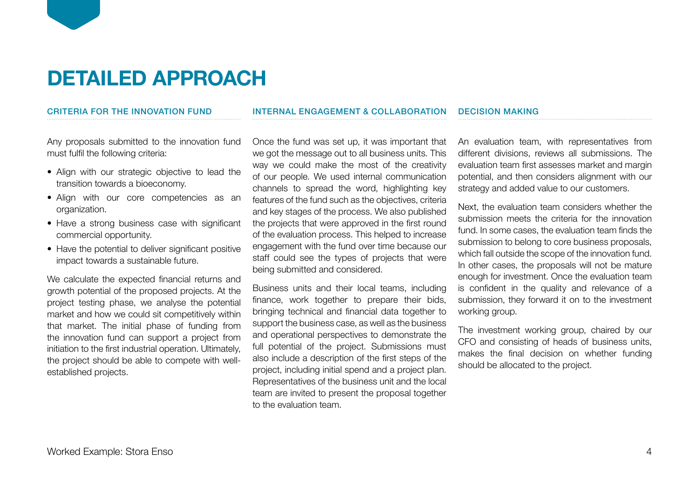# **DETAILED APPROACH**

## CRITERIA FOR THE INNOVATION FUND

Any proposals submitted to the innovation fund must fulfil the following criteria:

- Align with our strategic objective to lead the transition towards a bioeconomy.
- Align with our core competencies as an organization.
- Have a strong business case with significant commercial opportunity.
- Have the potential to deliver significant positive impact towards a sustainable future.

We calculate the expected financial returns and growth potential of the proposed projects. At the project testing phase, we analyse the potential market and how we could sit competitively within that market. The initial phase of funding from the innovation fund can support a project from initiation to the first industrial operation. Ultimately, the project should be able to compete with wellestablished projects.

### INTERNAL ENGAGEMENT & COLLABORATION

Once the fund was set up, it was important that we got the message out to all business units. This way we could make the most of the creativity of our people. We used internal communication channels to spread the word, highlighting key features of the fund such as the objectives, criteria and key stages of the process. We also published the projects that were approved in the first round of the evaluation process. This helped to increase engagement with the fund over time because our staff could see the types of projects that were being submitted and considered.

Business units and their local teams, including finance, work together to prepare their bids, bringing technical and financial data together to support the business case, as well as the business and operational perspectives to demonstrate the full potential of the project. Submissions must also include a description of the first steps of the project, including initial spend and a project plan. Representatives of the business unit and the local team are invited to present the proposal together to the evaluation team.

## DECISION MAKING

An evaluation team, with representatives from different divisions, reviews all submissions. The evaluation team first assesses market and margin potential, and then considers alignment with our strategy and added value to our customers.

Next, the evaluation team considers whether the submission meets the criteria for the innovation fund. In some cases, the evaluation team finds the submission to belong to core business proposals, which fall outside the scope of the innovation fund. In other cases, the proposals will not be mature enough for investment. Once the evaluation team is confident in the quality and relevance of a submission, they forward it on to the investment working group.

The investment working group, chaired by our CFO and consisting of heads of business units, makes the final decision on whether funding should be allocated to the project.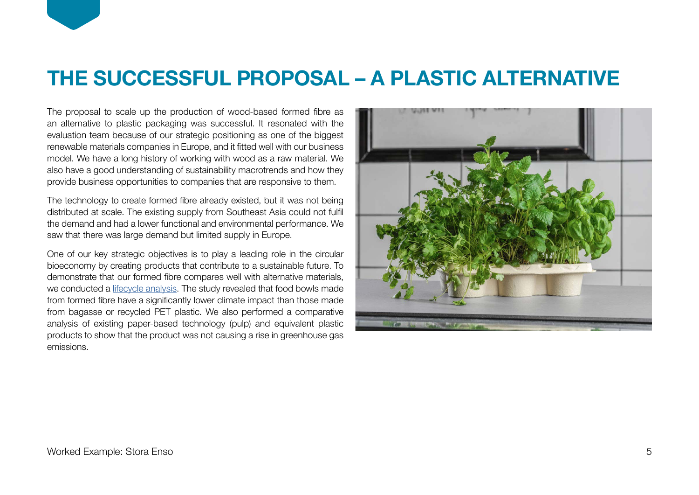# **THE SUCCESSFUL PROPOSAL – A PLASTIC ALTERNATIVE**

The proposal to scale up the production of wood-based formed fibre as an alternative to plastic packaging was successful. It resonated with the evaluation team because of our strategic positioning as one of the biggest renewable materials companies in Europe, and it fitted well with our business model. We have a long history of working with wood as a raw material. We also have a good understanding of sustainability macrotrends and how they provide business opportunities to companies that are responsive to them.

The technology to create formed fibre already existed, but it was not being distributed at scale. The existing supply from Southeast Asia could not fulfil the demand and had a lower functional and environmental performance. We saw that there was large demand but limited supply in Europe.

One of our key strategic objectives is to play a leading role in the circular bioeconomy by creating products that contribute to a sustainable future. To demonstrate that our formed fibre compares well with alternative materials, we conducted a [lifecycle analysis.](https://info.storaenso.com/lca-study-formed-fiber) The study revealed that food bowls made from formed fibre have a significantly lower climate impact than those made from bagasse or recycled PET plastic. We also performed a comparative analysis of existing paper-based technology (pulp) and equivalent plastic products to show that the product was not causing a rise in greenhouse gas emissions.

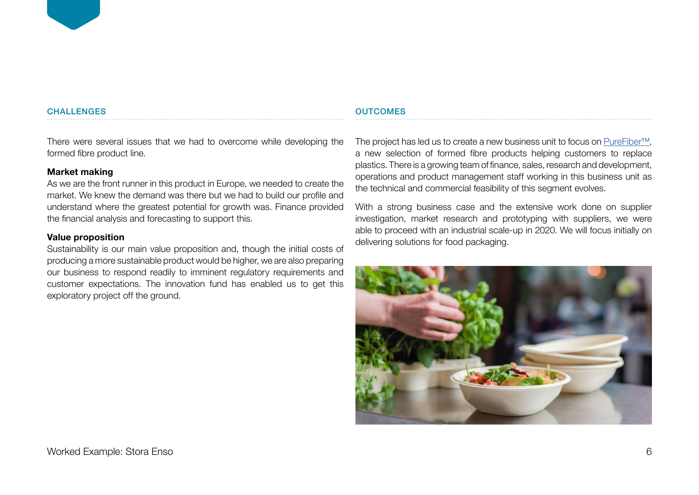### **CHALLENGES**

**OUTCOMES** 

There were several issues that we had to overcome while developing the formed fibre product line.

# **Market making**

As we are the front runner in this product in Europe, we needed to create the market. We knew the demand was there but we had to build our profile and understand where the greatest potential for growth was. Finance provided the financial analysis and forecasting to support this.

# **Value proposition**

Sustainability is our main value proposition and, though the initial costs of producing a more sustainable product would be higher, we are also preparing our business to respond readily to imminent regulatory requirements and customer expectations. The innovation fund has enabled us to get this exploratory project off the ground.

The project has led us to create a new business unit to focus on [PureFiber™](https://www.storaenso.com/en/products/formed-fiber), a new selection of formed fibre products helping customers to replace plastics. There is a growing team of finance, sales, research and development, operations and product management staff working in this business unit as the technical and commercial feasibility of this segment evolves.

With a strong business case and the extensive work done on supplier investigation, market research and prototyping with suppliers, we were able to proceed with an industrial scale-up in 2020. We will focus initially on delivering solutions for food packaging.

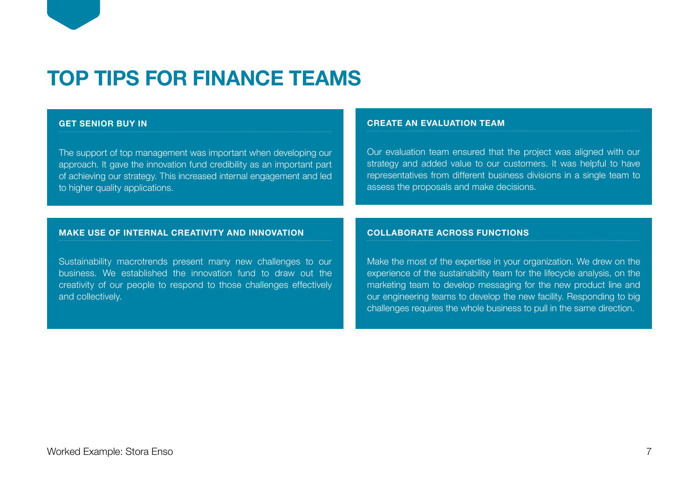# **TOP TIPS FOR FINANCE TEAMS**

# **GET SENIOR BUY IN**

The support of top management was important when developing our approach. It gave the innovation fund credibility as an important part of achieving our strategy. This increased internal engagement and led to higher quality applications.

### **CREATE AN EVALUATION TEAM**

Our evaluation team ensured that the project was aligned with our strategy and added value to our customers. It was helpful to have representatives from different business divisions in a single team to assess the proposals and make decisions.

## **MAKE USE OF INTERNAL CREATIVITY AND INNOVATION**

Sustainability macrotrends present many new challenges to our business. We established the innovation fund to draw out the creativity of our people to respond to those challenges effectively and collectively.

### **COLLABORATE ACROSS FUNCTIONS**

Make the most of the expertise in your organization. We drew on the experience of the sustainability team for the lifecycle analysis, on the marketing team to develop messaging for the new product line and our engineering teams to develop the new facility. Responding to big challenges requires the whole business to pull in the same direction.